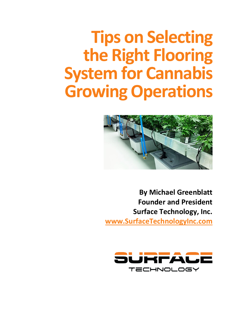## **Tips on Selecting the Right Flooring System for Cannabis Growing Operations**



**By Michael Greenblatt Founder and President Surface Technology, Inc. [www.SurfaceTechnologyInc.com](https://www.epoxyfloorcoating.com/)**

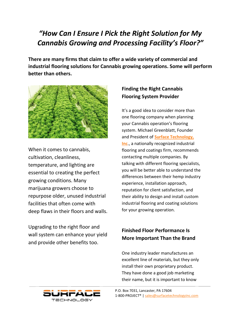#### *"How Can I Ensure I Pick the Right Solution for My Cannabis Growing and Processing Facility's Floor?"*

**There are many firms that claim to offer a wide variety of commercial and industrial flooring solutions for Cannabis growing operations. Some will perform better than others.**



When it comes to cannabis, cultivation, cleanliness, temperature, and lighting are essential to creating the perfect growing conditions. Many marijuana growers choose to repurpose older, unused industrial facilities that often come with deep flaws in their floors and walls.

Upgrading to the right floor and wall system can enhance your yield and provide other benefits too.

#### **Finding the Right Cannabis Flooring System Provider**

It's a good idea to consider more than one flooring company when planning your Cannabis operation's flooring system. Michael Greenblatt, Founder and President of **[Surface Technology,](https://www.epoxyfloorcoating.com/)  [Inc](https://www.epoxyfloorcoating.com/)**., a nationally recognized industrial flooring and coatings firm, recommends contacting multiple companies. By talking with different flooring specialists, you will be better able to understand the differences between their hemp industry experience, installation approach, reputation for client satisfaction, and their ability to design and install custom industrial flooring and coating solutions for your growing operation.

#### **Finished Floor Performance Is More Important Than the Brand**

One industry leader manufactures an excellent line of materials, but they only install their own proprietary product. They have done a good job marketing their name, but it is important to know

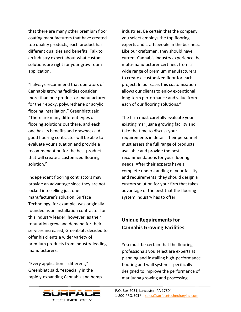that there are many other premium floor coating manufacturers that have created top quality products; each product has different qualities and benefits. Talk to an industry expert about what custom solutions are right for your grow room application.

"I always recommend that operators of Cannabis growing facilities consider more than one product or manufacturer for their epoxy, polyurethane or acrylic flooring installation," Greenblatt said. "There are many different types of flooring solutions out there, and each one has its benefits and drawbacks. A good flooring contractor will be able to evaluate your situation and provide a recommendation for the best product that will create a customized flooring solution."

Independent flooring contractors may provide an advantage since they are not locked into selling just one manufacturer's solution. Surface Technology, for example, was originally founded as an installation contractor for this industry leader; however, as their reputation grew and demand for their services increased, Greenblatt decided to offer his clients a wider variety of premium products from industry-leading manufacturers.

"Every application is different," Greenblatt said, "especially in the rapidly-expanding Cannabis and hemp industries. Be certain that the company you select employs the top flooring experts and craftspeople in the business. Like our craftsmen, they should have current Cannabis industry experience, be multi-manufacturer certified, from a wide range of premium manufacturers to create a customized floor for each project. In our case, this customization allows our clients to enjoy exceptional long-term performance and value from each of our flooring solutions."

The firm must carefully evaluate your existing marijuana growing facility and take the time to discuss your requirements in detail. Their personnel must assess the full range of products available and provide the best recommendations for your flooring needs. After their experts have a complete understanding of your facility and requirements, they should design a custom solution for your firm that takes advantage of the best that the flooring system industry has to offer.

#### **Unique Requirements for Cannabis Growing Facilities**

You must be certain that the flooring professionals you select are experts at planning and installing high-performance flooring and wall systems specifically designed to improve the performance of marijuana growing and processing

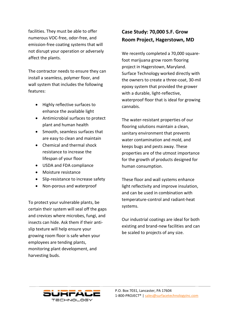facilities. They must be able to offer numerous VOC-free, odor-free, and emission-free coating systems that will not disrupt your operation or adversely affect the plants.

The contractor needs to ensure they can install a seamless, polymer floor, and wall system that includes the following features:

- Highly reflective surfaces to enhance the available light
- Antimicrobial surfaces to protect plant and human health
- Smooth, seamless surfaces that are easy to clean and maintain
- Chemical and thermal shock resistance to increase the lifespan of your floor
- USDA and FDA compliance
- Moisture resistance
- Slip-resistance to increase safety
- Non-porous and waterproof

To protect your vulnerable plants, be certain their system will seal off the gaps and crevices where microbes, fungi, and insects can hide. Ask them if their antislip texture will help ensure your growing room floor is safe when your employees are tending plants, monitoring plant development, and harvesting buds.

#### **Case Study: 70,000 S.F. Grow Room Project, Hagerstown, MD**

We recently completed a 70,000 squarefoot marijuana grow room flooring project in Hagerstown, Maryland. Surface Technology worked directly with the owners to create a three-coat, 30-mil epoxy system that provided the grower with a durable, light-reflective, waterproof floor that is ideal for growing cannabis.

The water-resistant properties of our flooring solutions maintain a clean, sanitary environment that prevents water contamination and mold, and keeps bugs and pests away. These properties are of the utmost importance for the growth of products designed for human consumption.

These floor and wall systems enhance light reflectivity and improve insulation, and can be used in combination with temperature-control and radiant-heat systems.

Our industrial coatings are ideal for both existing and brand-new facilities and can be scaled to projects of any size.

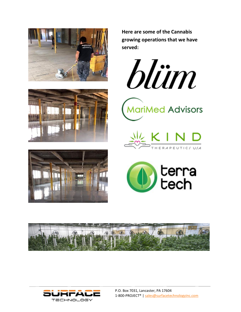





**Here are some of the Cannabis growing operations that we have served:** 











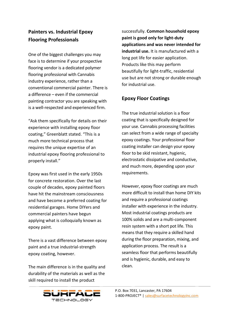#### **Painters vs. Industrial Epoxy Flooring Professionals**

One of the biggest challenges you may face is to determine if your prospective flooring vendor is a dedicated polymer flooring professional with Cannabis industry experience, rather than a conventional commercial painter. There is a difference – even if the commercial painting contractor you are speaking with is a well-respected and experienced firm.

"Ask them specifically for details on their experience with installing epoxy floor coating," Greenblatt stated. "This is a much more technical process that requires the unique expertise of an industrial epoxy flooring professional to properly install."

Epoxy was first used in the early 1950s for concrete restoration. Over the last couple of decades, epoxy painted floors have hit the mainstream consciousness and have become a preferred coating for residential garages. Home DIYers and commercial painters have begun applying what is colloquially known as epoxy paint.

There is a vast difference between epoxy paint and a true industrial-strength epoxy coating, however.

The main difference is in the quality and durability of the materials as well as the skill required to install the product

successfully. **Common household epoxy paint is good only for light-duty applications and was never intended for industrial use.** It is manufactured with a long pot life for easier application. Products like this may perform beautifully for light-traffic, residential use but are not strong or durable enough for industrial use.

#### **Epoxy Floor Coatings**

The true industrial solution is a floor coating that is specifically designed for your use. Cannabis processing facilities can select from a wide range of specialty epoxy coatings. Your professional floor coating installer can design your epoxy floor to be skid resistant, hygienic, electrostatic dissipative and conductive, and much more, depending upon your requirements.

However, epoxy floor coatings are much more difficult to install than home DIY kits and require a professional coatings installer with experience in the industry. Most industrial coatings products are 100% solids and are a multi-component resin system with a short pot life. This means that they require a skilled hand during the floor preparation, mixing, and application process. The result is a seamless floor that performs beautifully and is hygienic, durable, and easy to clean.

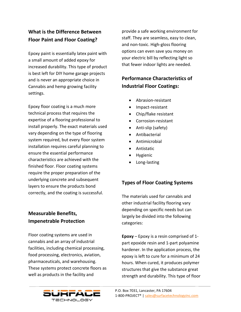#### **What is the Difference Between Floor Paint and Floor Coating?**

Epoxy paint is essentially latex paint with a small amount of added epoxy for increased durability. This type of product is best left for DIY home garage projects and is never an appropriate choice in Cannabis and hemp growing facility settings.

Epoxy floor coating is a much more technical process that requires the expertise of a flooring professional to install properly. The exact materials used vary depending on the type of flooring system required, but every floor system installation requires careful planning to ensure the essential performance characteristics are achieved with the finished floor. Floor coating systems require the proper preparation of the underlying concrete and subsequent layers to ensure the products bond correctly, and the coating is successful.

#### **Measurable Benefits, Impenetrable Protection**

Floor coating systems are used in cannabis and an array of industrial facilities, including chemical processing, food processing, electronics, aviation, pharmaceuticals, and warehousing. These systems protect concrete floors as well as products in the facility and

provide a safe working environment for staff. They are seamless, easy to clean, and non-toxic. High-gloss flooring options can even save you money on your electric bill by reflecting light so that fewer indoor lights are needed.

#### **Performance Characteristics of Industrial Floor Coatings:**

- Abrasion-resistant
- Impact-resistant
- Chip/flake resistant
- Corrosion-resistant
- Anti-slip (safety)
- Antibacterial
- Antimicrobial
- Antistatic
- Hygienic
- Long-lasting

#### **Types of Floor Coating Systems**

The materials used for cannabis and other industrial facility flooring vary depending on specific needs but can largely be divided into the following categories:

**Epoxy** – Epoxy is a resin comprised of 1 part epoxide resin and 1-part polyamine hardener. In the application process, the epoxy is left to cure for a minimum of 24 hours. When cured, it produces polymer structures that give the substance great strength and durability. This type of floor

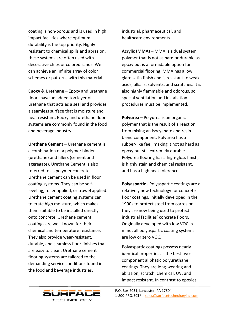coating is non-porous and is used in high impact facilities where optimum durability is the top priority. Highly resistant to chemical spills and abrasion, these systems are often used with decorative chips or colored sands. We can achieve an infinite array of color schemes or patterns with this material.

**Epoxy & Urethane** – Epoxy and urethane floors have an added top layer of urethane that acts as a seal and provides a seamless surface that is moisture and heat resistant. Epoxy and urethane floor systems are commonly found in the food and beverage industry.

**Urethane Cement** – Urethane cement is a combination of a polymer binder (urethane) and fillers (cement and aggregate). Urethane Cement is also referred to as polymer concrete. Urethane cement can be used in floor coating systems. They can be selfleveling, roller applied, or trowel applied. Urethane cement coating systems can tolerate high moisture, which makes them suitable to be installed directly onto concrete. Urethane cement coatings are well known for their chemical and temperature resistance. They also provide wear-resistant, durable, and seamless floor finishes that are easy to clean. Urethane cement flooring systems are tailored to the demanding service conditions found in the food and beverage industries,

industrial, pharmaceutical, and healthcare environments.

**Acrylic (MMA)** – MMA is a dual system polymer that is not as hard or durable as epoxy but is a formidable option for commercial flooring. MMA has a low glare satin finish and is resistant to weak acids, alkalis, solvents, and scratches. It is also highly flammable and odorous, so special ventilation and installation procedures must be implemented.

**Polyurea** – Polyurea is an organic polymer that is the result of a reaction from mixing an isocyanate and resin blend component. Polyurea has a rubber-like feel, making it not as hard as epoxy but still extremely durable. Polyurea flooring has a high-gloss finish, is highly stain and chemical resistant, and has a high heat tolerance.

**Polyaspartic** - Polyaspartic coatings are a relatively new technology for concrete floor coatings. Initially developed in the 1990s to protect steel from corrosion, they are now being used to protect industrial facilities' concrete floors. Originally developed with low VOC in mind, all polyaspartic coating systems are low or zero VOC.

Polyaspartic coatings possess nearly identical properties as the best twocomponent aliphatic polyurethane coatings. They are long-wearing and abrasion, scratch, chemical, UV, and impact resistant. In contrast to epoxies

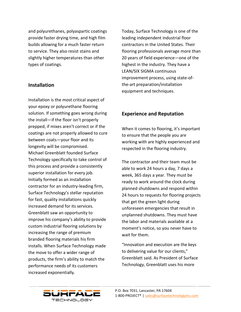and polyurethanes, polyaspartic coatings provide faster drying time, and high film builds allowing for a much faster return to service. They also resist stains and slightly higher temperatures than other types of coatings.

#### **Installation**

Installation is the most critical aspect of your epoxy or polyurethane flooring solution. If something goes wrong during the install—if the floor isn't properly prepped, if mixes aren't correct or if the coatings are not properly allowed to cure between coats—your floor and its longevity will be compromised. Michael Greenblatt founded Surface Technology specifically to take control of this process and provide a consistently superior installation for every job. Initially formed as an installation contractor for an industry-leading firm, Surface Technology's stellar reputation for fast, quality installations quickly increased demand for its services. Greenblatt saw an opportunity to improve his company's ability to provide custom industrial flooring solutions by increasing the range of premium branded flooring materials his firm installs. When Surface Technology made the move to offer a wider range of products, the firm's ability to match the performance needs of its customers increased exponentially.

Today, Surface Technology is one of the leading independent industrial floor contractors in the United States. Their flooring professionals average more than 20 years of field experience—one of the highest in the industry. They have a LEAN/SIX SIGMA continuous improvement process, using state-ofthe-art preparation/installation equipment and techniques.

#### **Experience and Reputation**

When it comes to flooring, it's important to ensure that the people you are working with are highly experienced and respected in the flooring industry.

The contractor and their team must be able to work 24 hours a day, 7 days a week, 365 days a year. They must be ready to work around the clock during planned shutdowns and respond within 24 hours to requests for flooring projects that get the green light during unforeseen emergencies that result in unplanned shutdowns. They must have the labor and materials available at a moment's notice, so you never have to wait for them.

"Innovation and execution are the keys to delivering value for our clients," Greenblatt said. As President of Surface Technology, Greenblatt uses his more

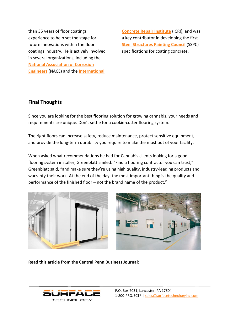than 35 years of floor coatings experience to help set the stage for future innovations within the floor coatings industry. He is actively involved in several organizations, including the **[National Association of Corrosion](https://www.nace.org/home)  [Engineers](https://www.nace.org/home)** (NACE) and the **[International](https://www.icri.org/)** 

**[Concrete Repair Institute](https://www.icri.org/)** (ICRI), and was a key contributor in developing the first **[Steel Structures Painting Council](https://www.sspc.org/)** (SSPC) specifications for coating concrete.

#### **Final Thoughts**

Since you are looking for the best flooring solution for growing cannabis, your needs and requirements are unique. Don't settle for a cookie-cutter flooring system.

The right floors can increase safety, reduce maintenance, protect sensitive equipment, and provide the long-term durability you require to make the most out of your facility.

When asked what recommendations he had for Cannabis clients looking for a good flooring system installer, Greenblatt smiled. "Find a flooring contractor you can trust," Greenblatt said, "and make sure they're using high quality, industry-leading products and warranty their work. At the end of the day, the most important thing is the quality and performance of the finished floor – not the brand name of the product."





**Read this article from the Central Penn Business Journal:** 

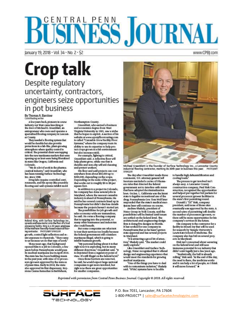# **BÜSINESS JOURNAL**

January 19, 2018 · Vol. 34 · No. 2 · \$2

### **Crop talk** Despite regulatory uncertainty, contractors,

engineers seize opportunities in pot business

By Thomas A. Barstow<br>Contributing writer

A few years back, pioneers in a new industry out West came knocking at the door of Michael E. Greenblatt, an entrepreneur who owns and operates a specialized flooring company in Lancaster County.

They needed a flooring system that would be durable but also provide protections in a lab-like, plant-growing atmosphere where quality control is critical The potential client was tapping into the new marijuana markets that were opening up as laws were being liberalized in states like Oregon, California and Colorado.

'We do a lot of work in the pharmacentical industry," said Greenblatt, who<br>has been running Surface Technology Inc. since 1988.

Drug labs require controlled environments, and his epoxy-like pourable flooring and wall systems inhibit mold



Roland King, with Surface Technology Inc.,<br>spreeds urethene morter onto the floor of a food processing facility. King is a 20-years employee<br>of the Manheim Township-based industrial flooring contractor. PHOTO(AMY SPANCLER growth, control light reflection and resist exposure to chemicals. "They came to us because we do that type of work"

Three years ago, that background<br>opened him to a job in Colorado, a few years before Pennsylvania would pass<br>its medical manijuana law in April 2016. The state law has been building steam in the past year, with nine of 12 processors/growers approved by the state as of press time. Early in 2018, the state also approved its first dispensary, Key-<br>stone Canna Remedies in Bethlebern,

Northampton County.

Greenblatt, who carned a business<br>and economics degree from West Virginia University in 1981, saw a niche that he hopes to exploit. A section of his website at www.apoxyfloorcoating.com<br>is called "Cannabis Grow Facility Floor Systems," where the company touts its ability to use its expertise to help protect crops grown in a lab environ

but also increase yield.<br>For example, lighting is critical, Greenblatt said. A reflective floor will help plants grow, while one that is durable and non-slip will aid cleaning<br>and protect workers.

His floor and wall projects can cost<br>anywhere from about \$50,000 up to \$300,000, depending on the scope. Depending on the scale of the project, that works out to roughly \$5 to \$8 per square foot.

In addition to a project in Colorado, his company has done several jobs in Maryland, where the nascent cannabis industry is ahead of Pennsylvania. He said he has several contracts lined up in Pennsylvania but didn't disclose details because the projects haven't started yet.<br>The possibilities for job growth and

sales economy-wide are tremendous, he said. He owns a flooring company that is tapping into the potential, so<br>many other businesses and industries also could benefit.

But some companies are reluctant to tout their services too loudly because the federal government still considers marijuana illegal, which is going to inhibit business growth.

 $\,$  "My personal feeling about it is that right now it is exploding, but in many different directions," Greenblatt said. "It is disjointed from a regulatory point of view. It's still illegal on the federal level."<br>Once those barriers are removed,

he said, he would expect large national companies to get more involved, but right now there are great opportunities for smaller companies.



Michael Greenblatt is the founder of Surface Technology Inc., a Lancaster County industrial flooring contractor, marking its 30th year in business this year. FHOTOJAMY SPANGLER

The day after Greenblatt made those<br>comments, U.S. attorney general Jeff Sessions rescinded a series of Obamaera rules that directed the federal vernment not to interfere with states that have adopted decriminalization laws. On Jan. 1, California was the latest state to legalize recreational use of the drug. Pennsylvania Gov. Tom Wolf later responded that the state's medical martjuana laws will continue on course.

Andrew Shakely, president of Nutec Group in York County, said the<br>possibilities will be limited until issues are settled on the federal level. The architectural-and-engineering design firm is doing five designs in Florida. It has worked for one company in Pennsylvania that so far hasn't gotten state approval and has several projects in Maryland.

"It is attracting a good bit of attention," Shakely said. "The market could really explode."

Like Greenblatt and Surface Technology, Nutor recognized that it offered design and engineering experience that<br>would meet the standards for growing medical marituans.

'One of the things you have to deal with is contaminate isolation," Shakely said. "HVAC systems have to be able

to handle high dehumidification and<br>cooling loads."

The process to get involved isn't<br>always easy. A Lancaster County construction company, Paul Risk Construction,<br>recognized the opportunities<br>and helped put together bid packets for  $\sf several \, processor/grower \, for$ <br> $\sf the \, states's \, first \, permuting \, round.$ 

Donald 1 "DJ" Risk, company<br>president, said none of those sites eventually was approved by the state. A second wave of permitting will double the number of processors/growers, so there will be more opportunities for his company's services in the future.

His company is the contractor for a<br>facility in Mount Joy that will be used for research by Temple University's Lewis Katz School of Medicine. The company also has bid on several projects in Maryland.

Risk isn't concerned about wavering on the federal level and still sees immense potential for an industry that didn't exist legally just a few years ago.

"Realistically, the ball is already<br>rolling," Risk said. "At the end of the day, the need is there, the medicine works and it can help a lot of people, so I think it will move forward."

Reprinted with permission from Central Penn Business Journal. Copyright © 2018. All rights reserved.



#### www.CPBI.com